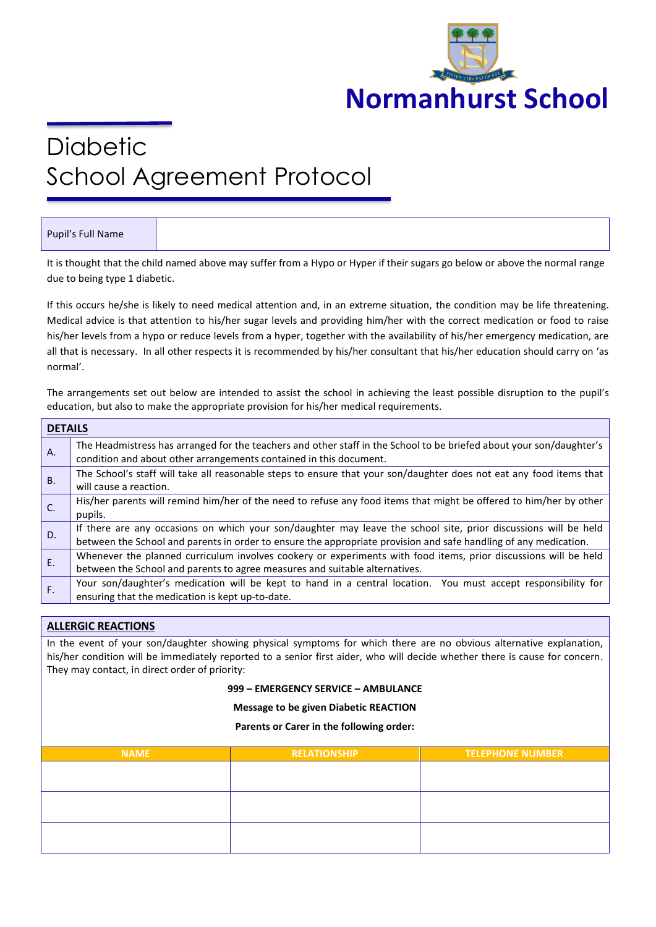

# **Diabetic** School Agreement Protocol

# Pupil's Full Name

It is thought that the child named above may suffer from a Hypo or Hyper if their sugars go below or above the normal range due to being type 1 diabetic.

If this occurs he/she is likely to need medical attention and, in an extreme situation, the condition may be life threatening. Medical advice is that attention to his/her sugar levels and providing him/her with the correct medication or food to raise his/her levels from a hypo or reduce levels from a hyper, together with the availability of his/her emergency medication, are all that is necessary. In all other respects it is recommended by his/her consultant that his/her education should carry on 'as normal'.

The arrangements set out below are intended to assist the school in achieving the least possible disruption to the pupil's education, but also to make the appropriate provision for his/her medical requirements.

| <b>DETAILS</b> |                                                                                                                                                                                            |  |  |  |
|----------------|--------------------------------------------------------------------------------------------------------------------------------------------------------------------------------------------|--|--|--|
| A.             | The Headmistress has arranged for the teachers and other staff in the School to be briefed about your son/daughter's<br>condition and about other arrangements contained in this document. |  |  |  |
|                |                                                                                                                                                                                            |  |  |  |
| <b>B.</b>      | The School's staff will take all reasonable steps to ensure that your son/daughter does not eat any food items that<br>will cause a reaction.                                              |  |  |  |
| C.             | His/her parents will remind him/her of the need to refuse any food items that might be offered to him/her by other                                                                         |  |  |  |
|                | pupils.                                                                                                                                                                                    |  |  |  |
| D.             | If there are any occasions on which your son/daughter may leave the school site, prior discussions will be held                                                                            |  |  |  |
|                | between the School and parents in order to ensure the appropriate provision and safe handling of any medication.                                                                           |  |  |  |
| E.             | Whenever the planned curriculum involves cookery or experiments with food items, prior discussions will be held                                                                            |  |  |  |
|                | between the School and parents to agree measures and suitable alternatives.                                                                                                                |  |  |  |
| F.             | Your son/daughter's medication will be kept to hand in a central location. You must accept responsibility for                                                                              |  |  |  |
|                | ensuring that the medication is kept up-to-date.                                                                                                                                           |  |  |  |

## **ALLERGIC REACTIONS**

In the event of your son/daughter showing physical symptoms for which there are no obvious alternative explanation, his/her condition will be immediately reported to a senior first aider, who will decide whether there is cause for concern. They may contact, in direct order of priority:

## **999 – EMERGENCY SERVICE – AMBULANCE**

#### **Message to be given Diabetic REACTION**

#### **Parents or Carer in the following order:**

| <b>NAME</b> | <b>RELATIONSHIP</b> | <b>TELEPHONE NUMBER</b> |
|-------------|---------------------|-------------------------|
|             |                     |                         |
|             |                     |                         |
|             |                     |                         |
|             |                     |                         |
|             |                     |                         |
|             |                     |                         |